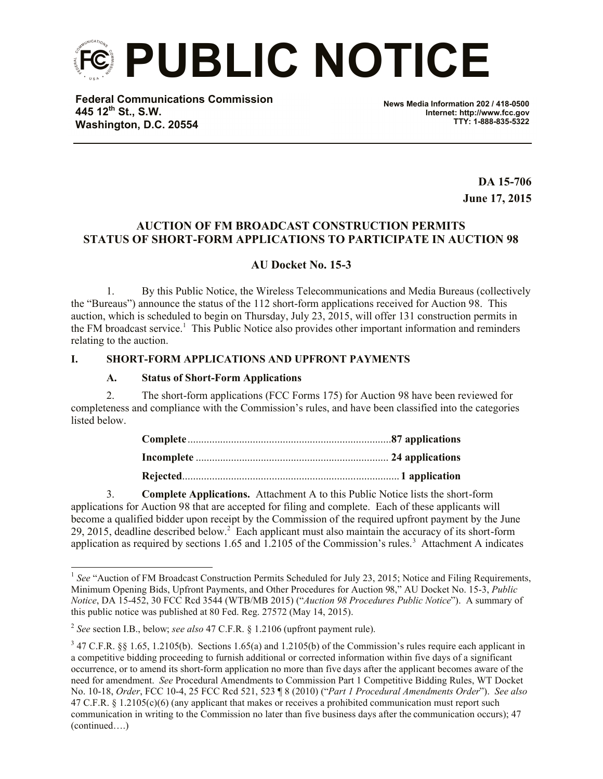

**Federal Communications Commission 445 12th St., S.W. Washington, D.C. 20554**

**News Media Information 202 / 418-0500 Internet: http://www.fcc.gov TTY: 1-888-835-5322**

> **DA 15-706 June 17, 2015**

# **AUCTION OF FM BROADCAST CONSTRUCTION PERMITS STATUS OF SHORT-FORM APPLICATIONS TO PARTICIPATE IN AUCTION 98**

# **AU Docket No. 15-3**

1. By this Public Notice, the Wireless Telecommunications and Media Bureaus (collectively the "Bureaus") announce the status of the 112 short-form applications received for Auction 98. This auction, which is scheduled to begin on Thursday, July 23, 2015, will offer 131 construction permits in the FM broadcast service.<sup>1</sup> This Public Notice also provides other important information and reminders relating to the auction.

## **I. SHORT-FORM APPLICATIONS AND UPFRONT PAYMENTS**

## **A. Status of Short-Form Applications**

2. The short-form applications (FCC Forms 175) for Auction 98 have been reviewed for completeness and compliance with the Commission's rules, and have been classified into the categories listed below.

3. **Complete Applications.** Attachment A to this Public Notice lists the short-form applications for Auction 98 that are accepted for filing and complete. Each of these applicants will become a qualified bidder upon receipt by the Commission of the required upfront payment by the June 29, 2015, deadline described below.<sup>2</sup> Each applicant must also maintain the accuracy of its short-form application as required by sections 1.65 and 1.2105 of the Commission's rules.<sup>3</sup> Attachment A indicates

l

<sup>&</sup>lt;sup>1</sup> See "Auction of FM Broadcast Construction Permits Scheduled for July 23, 2015; Notice and Filing Requirements, Minimum Opening Bids, Upfront Payments, and Other Procedures for Auction 98," AU Docket No. 15-3, *Public Notice*, DA 15-452, 30 FCC Rcd 3544 (WTB/MB 2015) ("*Auction 98 Procedures Public Notice*"). A summary of this public notice was published at 80 Fed. Reg. 27572 (May 14, 2015).

<sup>2</sup> *See* section I.B., below; *see also* 47 C.F.R. § 1.2106 (upfront payment rule).

 $3$  47 C.F.R. §§ 1.65, 1.2105(b). Sections 1.65(a) and 1.2105(b) of the Commission's rules require each applicant in a competitive bidding proceeding to furnish additional or corrected information within five days of a significant occurrence, or to amend its short-form application no more than five days after the applicant becomes aware of the need for amendment. *See* Procedural Amendments to Commission Part 1 Competitive Bidding Rules, WT Docket No. 10-18, *Order*, FCC 10-4, 25 FCC Rcd 521, 523 ¶ 8 (2010) ("*Part 1 Procedural Amendments Order*"). *See also*  47 C.F.R. § 1.2105(c)(6) (any applicant that makes or receives a prohibited communication must report such communication in writing to the Commission no later than five business days after the communication occurs); 47 (continued….)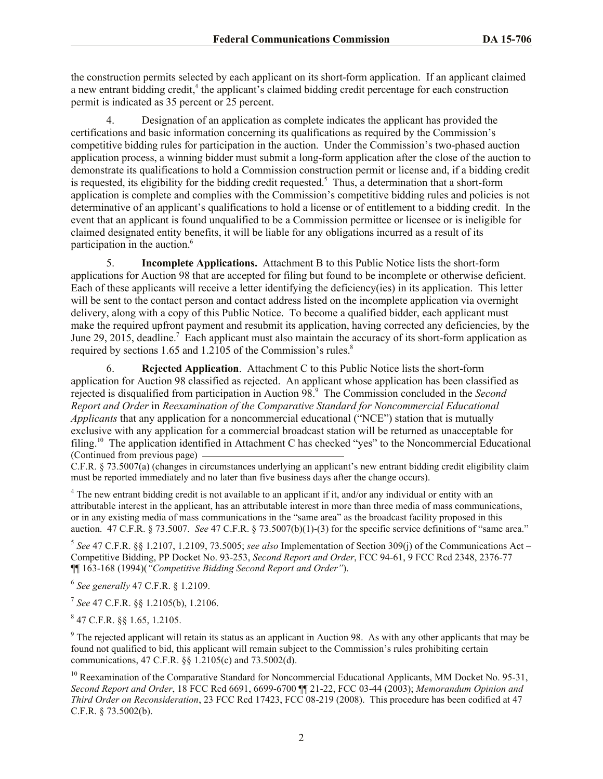the construction permits selected by each applicant on its short-form application. If an applicant claimed a new entrant bidding credit,<sup>4</sup> the applicant's claimed bidding credit percentage for each construction permit is indicated as 35 percent or 25 percent.

4. Designation of an application as complete indicates the applicant has provided the certifications and basic information concerning its qualifications as required by the Commission's competitive bidding rules for participation in the auction. Under the Commission's two-phased auction application process, a winning bidder must submit a long-form application after the close of the auction to demonstrate its qualifications to hold a Commission construction permit or license and, if a bidding credit is requested, its eligibility for the bidding credit requested.<sup>5</sup> Thus, a determination that a short-form application is complete and complies with the Commission's competitive bidding rules and policies is not determinative of an applicant's qualifications to hold a license or of entitlement to a bidding credit. In the event that an applicant is found unqualified to be a Commission permittee or licensee or is ineligible for claimed designated entity benefits, it will be liable for any obligations incurred as a result of its participation in the auction.<sup>6</sup>

5. **Incomplete Applications.** Attachment B to this Public Notice lists the short-form applications for Auction 98 that are accepted for filing but found to be incomplete or otherwise deficient. Each of these applicants will receive a letter identifying the deficiency(ies) in its application. This letter will be sent to the contact person and contact address listed on the incomplete application via overnight delivery, along with a copy of this Public Notice. To become a qualified bidder, each applicant must make the required upfront payment and resubmit its application, having corrected any deficiencies, by the June 29, 2015, deadline.<sup>7</sup> Each applicant must also maintain the accuracy of its short-form application as required by sections 1.65 and 1.2105 of the Commission's rules.<sup>8</sup>

6. **Rejected Application**. Attachment C to this Public Notice lists the short-form application for Auction 98 classified as rejected. An applicant whose application has been classified as rejected is disqualified from participation in Auction 98. 9 The Commission concluded in the *Second Report and Order* in *Reexamination of the Comparative Standard for Noncommercial Educational Applicants* that any application for a noncommercial educational ("NCE") station that is mutually exclusive with any application for a commercial broadcast station will be returned as unacceptable for filing.<sup>10</sup> The application identified in Attachment C has checked "yes" to the Noncommercial Educational (Continued from previous page)

C.F.R. § 73.5007(a) (changes in circumstances underlying an applicant's new entrant bidding credit eligibility claim must be reported immediately and no later than five business days after the change occurs).

<sup>4</sup> The new entrant bidding credit is not available to an applicant if it, and/or any individual or entity with an attributable interest in the applicant, has an attributable interest in more than three media of mass communications, or in any existing media of mass communications in the "same area" as the broadcast facility proposed in this auction. 47 C.F.R. § 73.5007. *See* 47 C.F.R. § 73.5007(b)(1)-(3) for the specific service definitions of "same area."

5 *See* 47 C.F.R. §§ 1.2107, 1.2109, 73.5005; *see also* Implementation of Section 309(j) of the Communications Act – Competitive Bidding, PP Docket No. 93-253, *Second Report and Order*, FCC 94-61, 9 FCC Rcd 2348, 2376-77 ¶¶ 163-168 (1994)(*"Competitive Bidding Second Report and Order"*).

6 *See generally* 47 C.F.R. § 1.2109.

7 *See* 47 C.F.R. §§ 1.2105(b), 1.2106.

8 47 C.F.R. §§ 1.65, 1.2105.

<sup>9</sup> The rejected applicant will retain its status as an applicant in Auction 98. As with any other applicants that may be found not qualified to bid, this applicant will remain subject to the Commission's rules prohibiting certain communications, 47 C.F.R. §§ 1.2105(c) and 73.5002(d).

<sup>10</sup> Reexamination of the Comparative Standard for Noncommercial Educational Applicants, MM Docket No. 95-31, *Second Report and Order*, 18 FCC Rcd 6691, 6699-6700 ¶¶ 21-22, FCC 03-44 (2003); *Memorandum Opinion and Third Order on Reconsideration*, 23 FCC Rcd 17423, FCC 08-219 (2008). This procedure has been codified at 47 C.F.R. § 73.5002(b).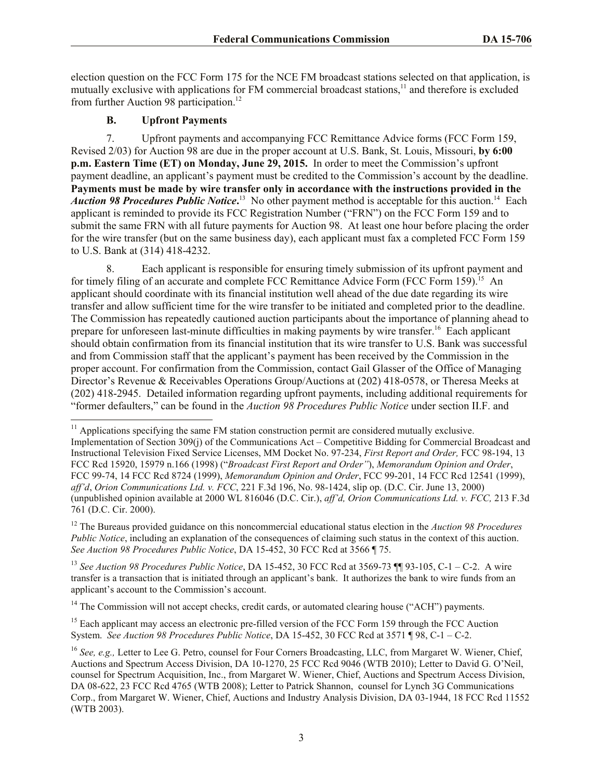election question on the FCC Form 175 for the NCE FM broadcast stations selected on that application, is mutually exclusive with applications for FM commercial broadcast stations,<sup>11</sup> and therefore is excluded from further Auction 98 participation.<sup>12</sup>

# **B. Upfront Payments**

7. Upfront payments and accompanying FCC Remittance Advice forms (FCC Form 159, Revised 2/03) for Auction 98 are due in the proper account at U.S. Bank, St. Louis, Missouri, **by 6:00 p.m. Eastern Time (ET) on Monday, June 29, 2015.** In order to meet the Commission's upfront payment deadline, an applicant's payment must be credited to the Commission's account by the deadline. **Payments must be made by wire transfer only in accordance with the instructions provided in the**  Auction 98 Procedures Public Notice.<sup>13</sup> No other payment method is acceptable for this auction.<sup>14</sup> Each applicant is reminded to provide its FCC Registration Number ("FRN") on the FCC Form 159 and to submit the same FRN with all future payments for Auction 98. At least one hour before placing the order for the wire transfer (but on the same business day), each applicant must fax a completed FCC Form 159 to U.S. Bank at (314) 418-4232.

8. Each applicant is responsible for ensuring timely submission of its upfront payment and for timely filing of an accurate and complete FCC Remittance Advice Form (FCC Form 159).<sup>15</sup> An applicant should coordinate with its financial institution well ahead of the due date regarding its wire transfer and allow sufficient time for the wire transfer to be initiated and completed prior to the deadline. The Commission has repeatedly cautioned auction participants about the importance of planning ahead to prepare for unforeseen last-minute difficulties in making payments by wire transfer.<sup>16</sup> Each applicant should obtain confirmation from its financial institution that its wire transfer to U.S. Bank was successful and from Commission staff that the applicant's payment has been received by the Commission in the proper account. For confirmation from the Commission, contact Gail Glasser of the Office of Managing Director's Revenue & Receivables Operations Group/Auctions at (202) 418-0578, or Theresa Meeks at (202) 418-2945. Detailed information regarding upfront payments, including additional requirements for "former defaulters," can be found in the *Auction 98 Procedures Public Notice* under section II.F. and l

 $11$  Applications specifying the same FM station construction permit are considered mutually exclusive. Implementation of Section 309(j) of the Communications Act – Competitive Bidding for Commercial Broadcast and Instructional Television Fixed Service Licenses, MM Docket No. 97-234, *First Report and Order,* FCC 98-194, 13 FCC Rcd 15920, 15979 n.166 (1998) ("*Broadcast First Report and Order"*), *Memorandum Opinion and Order*, FCC 99-74, 14 FCC Rcd 8724 (1999), *Memorandum Opinion and Order*, FCC 99-201, 14 FCC Rcd 12541 (1999), *aff'd*, *Orion Communications Ltd. v. FCC*, 221 F.3d 196, No. 98-1424, slip op. (D.C. Cir. June 13, 2000) (unpublished opinion available at 2000 WL 816046 (D.C. Cir.), *aff'd, Orion Communications Ltd. v. FCC,* 213 F.3d 761 (D.C. Cir. 2000).

<sup>12</sup> The Bureaus provided guidance on this noncommercial educational status election in the *Auction 98 Procedures Public Notice*, including an explanation of the consequences of claiming such status in the context of this auction. *See Auction 98 Procedures Public Notice*, DA 15-452, 30 FCC Rcd at 3566 ¶ 75.

<sup>13</sup> *See Auction 98 Procedures Public Notice*, DA 15-452, 30 FCC Rcd at 3569-73 ¶¶ 93-105, C-1 – C-2. A wire transfer is a transaction that is initiated through an applicant's bank. It authorizes the bank to wire funds from an applicant's account to the Commission's account.

<sup>&</sup>lt;sup>14</sup> The Commission will not accept checks, credit cards, or automated clearing house ("ACH") payments.

<sup>&</sup>lt;sup>15</sup> Each applicant may access an electronic pre-filled version of the FCC Form 159 through the FCC Auction System. *See Auction 98 Procedures Public Notice*, DA 15-452, 30 FCC Rcd at 3571 ¶ 98, C-1 – C-2.

<sup>&</sup>lt;sup>16</sup> See, e.g., Letter to Lee G. Petro, counsel for Four Corners Broadcasting, LLC, from Margaret W. Wiener, Chief, Auctions and Spectrum Access Division, DA 10-1270, 25 FCC Rcd 9046 (WTB 2010); Letter to David G. O'Neil, counsel for Spectrum Acquisition, Inc., from Margaret W. Wiener, Chief, Auctions and Spectrum Access Division, DA 08-622, 23 FCC Rcd 4765 (WTB 2008); Letter to Patrick Shannon, counsel for Lynch 3G Communications Corp., from Margaret W. Wiener, Chief, Auctions and Industry Analysis Division, DA 03-1944, 18 FCC Rcd 11552 (WTB 2003).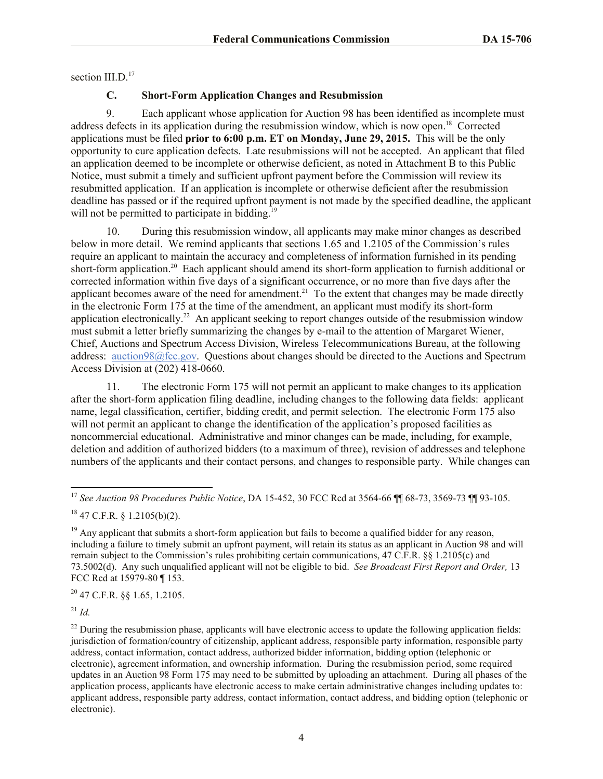section III.D.<sup>17</sup>

# **C. Short-Form Application Changes and Resubmission**

9. Each applicant whose application for Auction 98 has been identified as incomplete must address defects in its application during the resubmission window, which is now open. 18 Corrected applications must be filed **prior to 6:00 p.m. ET on Monday, June 29, 2015.** This will be the only opportunity to cure application defects. Late resubmissions will not be accepted. An applicant that filed an application deemed to be incomplete or otherwise deficient, as noted in Attachment B to this Public Notice, must submit a timely and sufficient upfront payment before the Commission will review its resubmitted application. If an application is incomplete or otherwise deficient after the resubmission deadline has passed or if the required upfront payment is not made by the specified deadline, the applicant will not be permitted to participate in bidding.<sup>19</sup>

10. During this resubmission window, all applicants may make minor changes as described below in more detail. We remind applicants that sections 1.65 and 1.2105 of the Commission's rules require an applicant to maintain the accuracy and completeness of information furnished in its pending short-form application.<sup>20</sup> Each applicant should amend its short-form application to furnish additional or corrected information within five days of a significant occurrence, or no more than five days after the applicant becomes aware of the need for amendment.<sup>21</sup> To the extent that changes may be made directly in the electronic Form 175 at the time of the amendment, an applicant must modify its short-form application electronically.<sup>22</sup> An applicant seeking to report changes outside of the resubmission window must submit a letter briefly summarizing the changes by e-mail to the attention of Margaret Wiener, Chief, Auctions and Spectrum Access Division, Wireless Telecommunications Bureau, at the following address: auction98@fcc.gov. Questions about changes should be directed to the Auctions and Spectrum Access Division at (202) 418-0660.

11. The electronic Form 175 will not permit an applicant to make changes to its application after the short-form application filing deadline, including changes to the following data fields: applicant name, legal classification, certifier, bidding credit, and permit selection. The electronic Form 175 also will not permit an applicant to change the identification of the application's proposed facilities as noncommercial educational. Administrative and minor changes can be made, including, for example, deletion and addition of authorized bidders (to a maximum of three), revision of addresses and telephone numbers of the applicants and their contact persons, and changes to responsible party. While changes can

<sup>20</sup> 47 C.F.R. §§ 1.65, 1.2105.

<sup>21</sup> *Id.*

 $^{22}$  During the resubmission phase, applicants will have electronic access to update the following application fields: jurisdiction of formation/country of citizenship, applicant address, responsible party information, responsible party address, contact information, contact address, authorized bidder information, bidding option (telephonic or electronic), agreement information, and ownership information. During the resubmission period, some required updates in an Auction 98 Form 175 may need to be submitted by uploading an attachment. During all phases of the application process, applicants have electronic access to make certain administrative changes including updates to: applicant address, responsible party address, contact information, contact address, and bidding option (telephonic or electronic).

l <sup>17</sup> *See Auction 98 Procedures Public Notice*, DA 15-452, 30 FCC Rcd at 3564-66 ¶¶ 68-73, 3569-73 ¶¶ 93-105.

 $18$  47 C.F.R. § 1.2105(b)(2).

 $19$  Any applicant that submits a short-form application but fails to become a qualified bidder for any reason, including a failure to timely submit an upfront payment, will retain its status as an applicant in Auction 98 and will remain subject to the Commission's rules prohibiting certain communications, 47 C.F.R. §§ 1.2105(c) and 73.5002(d). Any such unqualified applicant will not be eligible to bid. *See Broadcast First Report and Order,* 13 FCC Rcd at 15979-80 ¶ 153.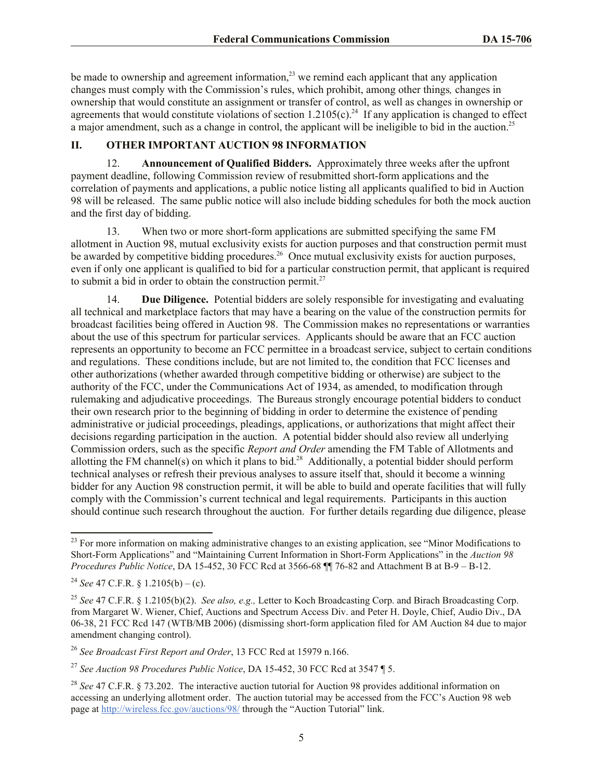be made to ownership and agreement information, $^{23}$  we remind each applicant that any application changes must comply with the Commission's rules, which prohibit, among other things*,* changes in ownership that would constitute an assignment or transfer of control, as well as changes in ownership or agreements that would constitute violations of section  $1.2105(c)$ .<sup>24</sup> If any application is changed to effect a major amendment, such as a change in control, the applicant will be ineligible to bid in the auction.<sup>25</sup>

## **II. OTHER IMPORTANT AUCTION 98 INFORMATION**

12. **Announcement of Qualified Bidders.** Approximately three weeks after the upfront payment deadline, following Commission review of resubmitted short-form applications and the correlation of payments and applications, a public notice listing all applicants qualified to bid in Auction 98 will be released. The same public notice will also include bidding schedules for both the mock auction and the first day of bidding.

13. When two or more short-form applications are submitted specifying the same FM allotment in Auction 98, mutual exclusivity exists for auction purposes and that construction permit must be awarded by competitive bidding procedures.<sup>26</sup> Once mutual exclusivity exists for auction purposes, even if only one applicant is qualified to bid for a particular construction permit, that applicant is required to submit a bid in order to obtain the construction permit. $27$ 

14. **Due Diligence.** Potential bidders are solely responsible for investigating and evaluating all technical and marketplace factors that may have a bearing on the value of the construction permits for broadcast facilities being offered in Auction 98. The Commission makes no representations or warranties about the use of this spectrum for particular services. Applicants should be aware that an FCC auction represents an opportunity to become an FCC permittee in a broadcast service, subject to certain conditions and regulations. These conditions include, but are not limited to, the condition that FCC licenses and other authorizations (whether awarded through competitive bidding or otherwise) are subject to the authority of the FCC, under the Communications Act of 1934, as amended, to modification through rulemaking and adjudicative proceedings. The Bureaus strongly encourage potential bidders to conduct their own research prior to the beginning of bidding in order to determine the existence of pending administrative or judicial proceedings, pleadings, applications, or authorizations that might affect their decisions regarding participation in the auction. A potential bidder should also review all underlying Commission orders, such as the specific *Report and Order* amending the FM Table of Allotments and allotting the FM channel(s) on which it plans to bid.<sup>28</sup> Additionally, a potential bidder should perform technical analyses or refresh their previous analyses to assure itself that, should it become a winning bidder for any Auction 98 construction permit, it will be able to build and operate facilities that will fully comply with the Commission's current technical and legal requirements. Participants in this auction should continue such research throughout the auction. For further details regarding due diligence, please

l

 $23$  For more information on making administrative changes to an existing application, see "Minor Modifications to Short-Form Applications" and "Maintaining Current Information in Short-Form Applications" in the *Auction 98 Procedures Public Notice*, DA 15-452, 30 FCC Rcd at 3566-68 ¶¶ 76-82 and Attachment B at B-9 – B-12.

<sup>&</sup>lt;sup>24</sup> *See* 47 C.F.R. § 1.2105(b) – (c).

<sup>25</sup> *See* 47 C.F.R. § 1.2105(b)(2). *See also, e.g.,* Letter to Koch Broadcasting Corp. and Birach Broadcasting Corp. from Margaret W. Wiener, Chief, Auctions and Spectrum Access Div. and Peter H. Doyle, Chief, Audio Div., DA 06-38, 21 FCC Rcd 147 (WTB/MB 2006) (dismissing short-form application filed for AM Auction 84 due to major amendment changing control).

<sup>26</sup> *See Broadcast First Report and Order*, 13 FCC Rcd at 15979 n.166.

<sup>27</sup> *See Auction 98 Procedures Public Notice*, DA 15-452, 30 FCC Rcd at 3547 ¶ 5.

<sup>&</sup>lt;sup>28</sup> *See* 47 C.F.R. § 73.202. The interactive auction tutorial for Auction 98 provides additional information on accessing an underlying allotment order. The auction tutorial may be accessed from the FCC's Auction 98 web page at http://wireless.fcc.gov/auctions/98/ through the "Auction Tutorial" link.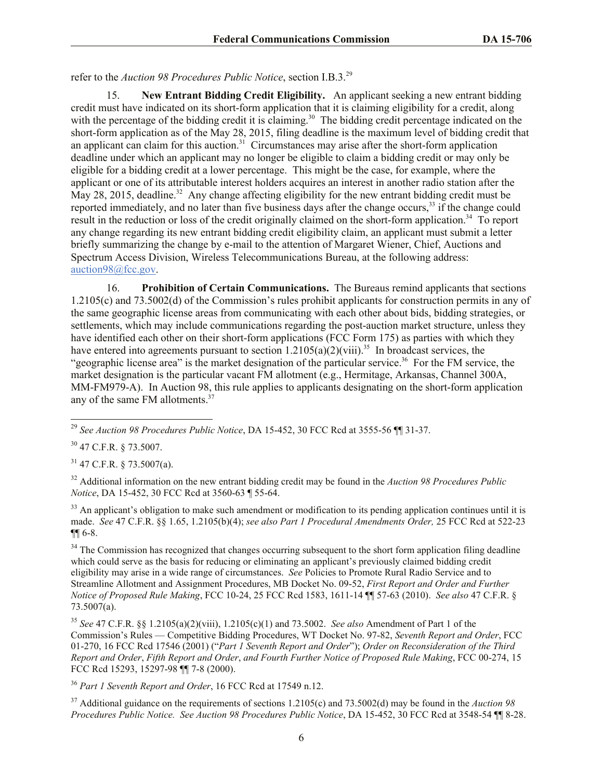refer to the *Auction 98 Procedures Public Notice*, section I.B.3.<sup>29</sup>

15. **New Entrant Bidding Credit Eligibility.** An applicant seeking a new entrant bidding credit must have indicated on its short-form application that it is claiming eligibility for a credit, along with the percentage of the bidding credit it is claiming.<sup>30</sup> The bidding credit percentage indicated on the short-form application as of the May 28, 2015, filing deadline is the maximum level of bidding credit that an applicant can claim for this auction.<sup>31</sup> Circumstances may arise after the short-form application deadline under which an applicant may no longer be eligible to claim a bidding credit or may only be eligible for a bidding credit at a lower percentage. This might be the case, for example, where the applicant or one of its attributable interest holders acquires an interest in another radio station after the May 28, 2015, deadline.<sup>32</sup> Any change affecting eligibility for the new entrant bidding credit must be reported immediately, and no later than five business days after the change occurs,<sup>33</sup> if the change could result in the reduction or loss of the credit originally claimed on the short-form application.<sup>34</sup> To report any change regarding its new entrant bidding credit eligibility claim, an applicant must submit a letter briefly summarizing the change by e-mail to the attention of Margaret Wiener, Chief, Auctions and Spectrum Access Division, Wireless Telecommunications Bureau, at the following address: auction98@fcc.gov.

16. **Prohibition of Certain Communications.** The Bureaus remind applicants that sections 1.2105(c) and 73.5002(d) of the Commission's rules prohibit applicants for construction permits in any of the same geographic license areas from communicating with each other about bids, bidding strategies, or settlements, which may include communications regarding the post-auction market structure, unless they have identified each other on their short-form applications (FCC Form 175) as parties with which they have entered into agreements pursuant to section  $1.2105(a)(2)(viii).$ <sup>35</sup> In broadcast services, the "geographic license area" is the market designation of the particular service.<sup>36</sup> For the FM service, the market designation is the particular vacant FM allotment (e.g., Hermitage, Arkansas, Channel 300A, MM-FM979-A). In Auction 98, this rule applies to applicants designating on the short-form application any of the same FM allotments.<sup>37</sup>

l <sup>29</sup> *See Auction 98 Procedures Public Notice*, DA 15-452, 30 FCC Rcd at 3555-56 ¶¶ 31-37.

<sup>30</sup> 47 C.F.R. § 73.5007.

 $31$  47 C.F.R. § 73.5007(a).

<sup>32</sup> Additional information on the new entrant bidding credit may be found in the *Auction 98 Procedures Public Notice*, DA 15-452, 30 FCC Rcd at 3560-63 ¶ 55-64.

 $33$  An applicant's obligation to make such amendment or modification to its pending application continues until it is made. *See* 47 C.F.R. §§ 1.65, 1.2105(b)(4); *see also Part 1 Procedural Amendments Order,* 25 FCC Rcd at 522-23 ¶¶ 6-8.

<sup>34</sup> The Commission has recognized that changes occurring subsequent to the short form application filing deadline which could serve as the basis for reducing or eliminating an applicant's previously claimed bidding credit eligibility may arise in a wide range of circumstances. *See* Policies to Promote Rural Radio Service and to Streamline Allotment and Assignment Procedures, MB Docket No. 09-52, *First Report and Order and Further Notice of Proposed Rule Making*, FCC 10-24, 25 FCC Rcd 1583, 1611-14 ¶¶ 57-63 (2010). *See also* 47 C.F.R. § 73.5007(a).

<sup>35</sup> *See* 47 C.F.R. §§ 1.2105(a)(2)(viii), 1.2105(c)(1) and 73.5002. *See also* Amendment of Part 1 of the Commission's Rules — Competitive Bidding Procedures, WT Docket No. 97-82, *Seventh Report and Order*, FCC 01-270, 16 FCC Rcd 17546 (2001) ("*Part 1 Seventh Report and Order*"); *Order on Reconsideration of the Third Report and Order*, *Fifth Report and Order*, *and Fourth Further Notice of Proposed Rule Making*, FCC 00-274, 15 FCC Rcd 15293, 15297-98 ¶¶ 7-8 (2000).

<sup>36</sup> *Part 1 Seventh Report and Order*, 16 FCC Rcd at 17549 n.12.

<sup>37</sup> Additional guidance on the requirements of sections 1.2105(c) and 73.5002(d) may be found in the *Auction 98 Procedures Public Notice. See Auction 98 Procedures Public Notice*, DA 15-452, 30 FCC Rcd at 3548-54 ¶¶ 8-28.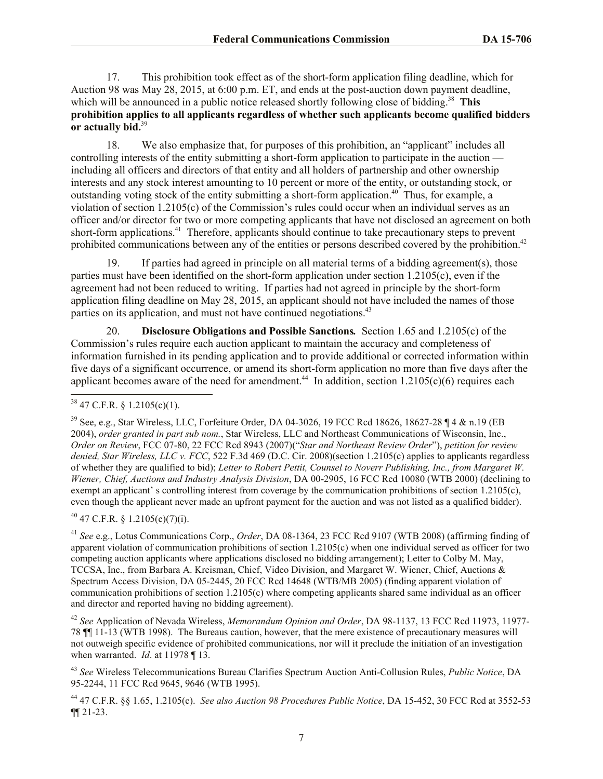17. This prohibition took effect as of the short-form application filing deadline, which for Auction 98 was May 28, 2015, at 6:00 p.m. ET, and ends at the post-auction down payment deadline, which will be announced in a public notice released shortly following close of bidding.<sup>38</sup> This **prohibition applies to all applicants regardless of whether such applicants become qualified bidders or actually bid.**<sup>39</sup>

18. We also emphasize that, for purposes of this prohibition, an "applicant" includes all controlling interests of the entity submitting a short-form application to participate in the auction including all officers and directors of that entity and all holders of partnership and other ownership interests and any stock interest amounting to 10 percent or more of the entity, or outstanding stock, or outstanding voting stock of the entity submitting a short-form application.<sup>40</sup> Thus, for example, a violation of section 1.2105(c) of the Commission's rules could occur when an individual serves as an officer and/or director for two or more competing applicants that have not disclosed an agreement on both short-form applications.<sup>41</sup> Therefore, applicants should continue to take precautionary steps to prevent prohibited communications between any of the entities or persons described covered by the prohibition.<sup>42</sup>

19. If parties had agreed in principle on all material terms of a bidding agreement(s), those parties must have been identified on the short-form application under section 1.2105(c), even if the agreement had not been reduced to writing. If parties had not agreed in principle by the short-form application filing deadline on May 28, 2015, an applicant should not have included the names of those parties on its application, and must not have continued negotiations.<sup>43</sup>

20. **Disclosure Obligations and Possible Sanctions***.* Section 1.65 and 1.2105(c) of the Commission's rules require each auction applicant to maintain the accuracy and completeness of information furnished in its pending application and to provide additional or corrected information within five days of a significant occurrence, or amend its short-form application no more than five days after the applicant becomes aware of the need for amendment.<sup>44</sup> In addition, section  $1.2105(c)(6)$  requires each

l

 $40$  47 C.F.R. § 1.2105(c)(7)(i).

<sup>41</sup> *See* e.g., Lotus Communications Corp., *Order*, DA 08-1364, 23 FCC Rcd 9107 (WTB 2008) (affirming finding of apparent violation of communication prohibitions of section 1.2105(c) when one individual served as officer for two competing auction applicants where applications disclosed no bidding arrangement); Letter to Colby M. May, TCCSA, Inc., from Barbara A. Kreisman, Chief, Video Division, and Margaret W. Wiener, Chief, Auctions & Spectrum Access Division, DA 05-2445, 20 FCC Rcd 14648 (WTB/MB 2005) (finding apparent violation of communication prohibitions of section 1.2105(c) where competing applicants shared same individual as an officer and director and reported having no bidding agreement).

<sup>42</sup> *See* Application of Nevada Wireless, *Memorandum Opinion and Order*, DA 98-1137, 13 FCC Rcd 11973, 11977- 78 ¶¶ 11-13 (WTB 1998). The Bureaus caution, however, that the mere existence of precautionary measures will not outweigh specific evidence of prohibited communications, nor will it preclude the initiation of an investigation when warranted. *Id*. at 11978 ¶ 13.

<sup>43</sup> *See* Wireless Telecommunications Bureau Clarifies Spectrum Auction Anti-Collusion Rules, *Public Notice*, DA 95-2244, 11 FCC Rcd 9645, 9646 (WTB 1995).

<sup>44</sup> 47 C.F.R. §§ 1.65, 1.2105(c). *See also Auction 98 Procedures Public Notice*, DA 15-452, 30 FCC Rcd at 3552-53 ¶¶ 21-23.

 $38$  47 C.F.R. § 1.2105(c)(1).

<sup>39</sup> See, e.g., Star Wireless, LLC, Forfeiture Order, DA 04-3026, 19 FCC Rcd 18626, 18627-28 ¶ 4 & n.19 (EB 2004), *order granted in part sub nom.*, Star Wireless, LLC and Northeast Communications of Wisconsin, Inc., *Order on Review*, FCC 07-80, 22 FCC Rcd 8943 (2007)("*Star and Northeast Review Order*"), *petition for review denied, Star Wireless, LLC v. FCC*, 522 F.3d 469 (D.C. Cir. 2008)(section 1.2105(c) applies to applicants regardless of whether they are qualified to bid); *Letter to Robert Pettit, Counsel to Noverr Publishing, Inc., from Margaret W. Wiener, Chief, Auctions and Industry Analysis Division*, DA 00-2905, 16 FCC Rcd 10080 (WTB 2000) (declining to exempt an applicant' s controlling interest from coverage by the communication prohibitions of section 1.2105(c), even though the applicant never made an upfront payment for the auction and was not listed as a qualified bidder).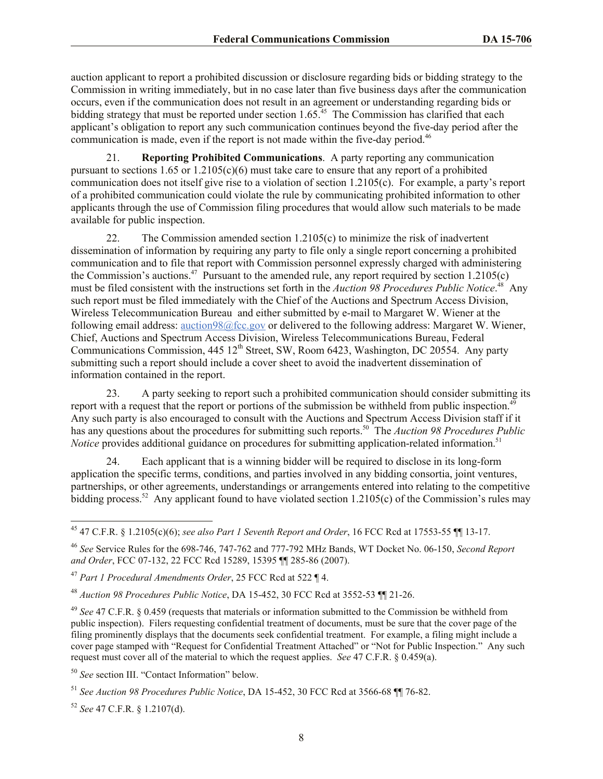auction applicant to report a prohibited discussion or disclosure regarding bids or bidding strategy to the Commission in writing immediately, but in no case later than five business days after the communication occurs, even if the communication does not result in an agreement or understanding regarding bids or bidding strategy that must be reported under section 1.65.<sup>45</sup> The Commission has clarified that each applicant's obligation to report any such communication continues beyond the five-day period after the communication is made, even if the report is not made within the five-day period.<sup>46</sup>

21. **Reporting Prohibited Communications**. A party reporting any communication pursuant to sections  $1.65$  or  $1.2105(c)(6)$  must take care to ensure that any report of a prohibited communication does not itself give rise to a violation of section 1.2105(c). For example, a party's report of a prohibited communication could violate the rule by communicating prohibited information to other applicants through the use of Commission filing procedures that would allow such materials to be made available for public inspection.

22. The Commission amended section 1.2105(c) to minimize the risk of inadvertent dissemination of information by requiring any party to file only a single report concerning a prohibited communication and to file that report with Commission personnel expressly charged with administering the Commission's auctions.<sup>47</sup> Pursuant to the amended rule, any report required by section  $1.2105(c)$ must be filed consistent with the instructions set forth in the *Auction 98 Procedures Public Notice*. 48 Any such report must be filed immediately with the Chief of the Auctions and Spectrum Access Division, Wireless Telecommunication Bureau and either submitted by e-mail to Margaret W. Wiener at the following email address: auction98@fcc.gov or delivered to the following address: Margaret W. Wiener, Chief, Auctions and Spectrum Access Division, Wireless Telecommunications Bureau, Federal Communications Commission, 445 12<sup>th</sup> Street, SW, Room 6423, Washington, DC 20554. Any party submitting such a report should include a cover sheet to avoid the inadvertent dissemination of information contained in the report.

23. A party seeking to report such a prohibited communication should consider submitting its report with a request that the report or portions of the submission be withheld from public inspection.<sup>49</sup> Any such party is also encouraged to consult with the Auctions and Spectrum Access Division staff if it has any questions about the procedures for submitting such reports.<sup>50</sup> The *Auction 98 Procedures Public Notice* provides additional guidance on procedures for submitting application-related information.<sup>51</sup>

24. Each applicant that is a winning bidder will be required to disclose in its long-form application the specific terms, conditions, and parties involved in any bidding consortia, joint ventures, partnerships, or other agreements, understandings or arrangements entered into relating to the competitive bidding process.<sup>52</sup> Any applicant found to have violated section  $1.2105(c)$  of the Commission's rules may

l <sup>45</sup> 47 C.F.R. § 1.2105(c)(6); *see also Part 1 Seventh Report and Order*, 16 FCC Rcd at 17553-55 ¶¶ 13-17.

<sup>46</sup> *See* Service Rules for the 698-746, 747-762 and 777-792 MHz Bands, WT Docket No. 06-150, *Second Report and Order*, FCC 07-132, 22 FCC Rcd 15289, 15395 ¶¶ 285-86 (2007).

<sup>47</sup> *Part 1 Procedural Amendments Order*, 25 FCC Rcd at 522 ¶ 4.

<sup>48</sup> *Auction 98 Procedures Public Notice*, DA 15-452, 30 FCC Rcd at 3552-53 ¶¶ 21-26.

<sup>49</sup> *See* 47 C.F.R. § 0.459 (requests that materials or information submitted to the Commission be withheld from public inspection). Filers requesting confidential treatment of documents, must be sure that the cover page of the filing prominently displays that the documents seek confidential treatment. For example, a filing might include a cover page stamped with "Request for Confidential Treatment Attached" or "Not for Public Inspection." Any such request must cover all of the material to which the request applies. *See* 47 C.F.R. § 0.459(a).

<sup>50</sup> *See* section III. "Contact Information" below.

<sup>51</sup> *See Auction 98 Procedures Public Notice*, DA 15-452, 30 FCC Rcd at 3566-68 ¶¶ 76-82.

<sup>52</sup> *See* 47 C.F.R. § 1.2107(d).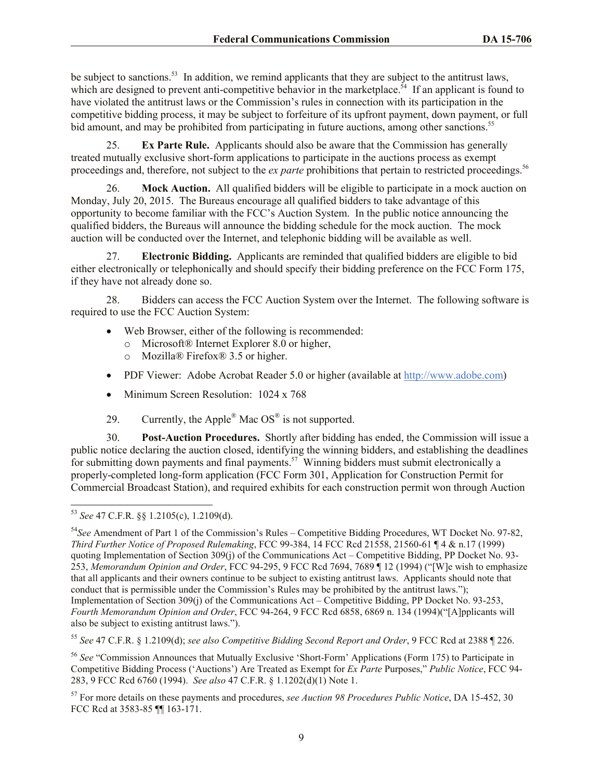be subject to sanctions.<sup>53</sup> In addition, we remind applicants that they are subject to the antitrust laws, which are designed to prevent anti-competitive behavior in the marketplace.<sup>54</sup> If an applicant is found to have violated the antitrust laws or the Commission's rules in connection with its participation in the competitive bidding process, it may be subject to forfeiture of its upfront payment, down payment, or full bid amount, and may be prohibited from participating in future auctions, among other sanctions.<sup>55</sup>

25. **Ex Parte Rule.** Applicants should also be aware that the Commission has generally treated mutually exclusive short-form applications to participate in the auctions process as exempt proceedings and, therefore, not subject to the *ex parte* prohibitions that pertain to restricted proceedings.<sup>56</sup>

26. **Mock Auction.** All qualified bidders will be eligible to participate in a mock auction on Monday, July 20, 2015. The Bureaus encourage all qualified bidders to take advantage of this opportunity to become familiar with the FCC's Auction System. In the public notice announcing the qualified bidders, the Bureaus will announce the bidding schedule for the mock auction. The mock auction will be conducted over the Internet, and telephonic bidding will be available as well.

27. **Electronic Bidding.** Applicants are reminded that qualified bidders are eligible to bid either electronically or telephonically and should specify their bidding preference on the FCC Form 175, if they have not already done so.

28. Bidders can access the FCC Auction System over the Internet. The following software is required to use the FCC Auction System:

- Web Browser, either of the following is recommended:
	- o Microsoft® Internet Explorer 8.0 or higher,
	- o Mozilla® Firefox® 3.5 or higher.
- PDF Viewer: Adobe Acrobat Reader 5.0 or higher (available at http://www.adobe.com)
- Minimum Screen Resolution: 1024 x 768
- 29. Currently, the Apple<sup>®</sup> Mac OS<sup>®</sup> is not supported.

30. **Post-Auction Procedures.** Shortly after bidding has ended, the Commission will issue a public notice declaring the auction closed, identifying the winning bidders, and establishing the deadlines for submitting down payments and final payments.<sup>57</sup> Winning bidders must submit electronically a properly-completed long-form application (FCC Form 301, Application for Construction Permit for Commercial Broadcast Station), and required exhibits for each construction permit won through Auction

l <sup>53</sup> *See* 47 C.F.R. §§ 1.2105(c), 1.2109(d).

<sup>54</sup>*See* Amendment of Part 1 of the Commission's Rules – Competitive Bidding Procedures, WT Docket No. 97-82, *Third Further Notice of Proposed Rulemaking*, FCC 99-384, 14 FCC Rcd 21558, 21560-61 ¶ 4 & n.17 (1999) quoting Implementation of Section 309(j) of the Communications Act – Competitive Bidding, PP Docket No. 93- 253, *Memorandum Opinion and Order*, FCC 94-295, 9 FCC Rcd 7694, 7689 ¶ 12 (1994) ("[W]e wish to emphasize that all applicants and their owners continue to be subject to existing antitrust laws. Applicants should note that conduct that is permissible under the Commission's Rules may be prohibited by the antitrust laws."); Implementation of Section 309(j) of the Communications Act – Competitive Bidding, PP Docket No. 93-253, *Fourth Memorandum Opinion and Order*, FCC 94-264, 9 FCC Rcd 6858, 6869 n. 134 (1994)("[A]pplicants will also be subject to existing antitrust laws.").

<sup>55</sup> *See* 47 C.F.R. § 1.2109(d); *see also Competitive Bidding Second Report and Order*, 9 FCC Rcd at 2388 ¶ 226.

<sup>56</sup> *See* "Commission Announces that Mutually Exclusive 'Short-Form' Applications (Form 175) to Participate in Competitive Bidding Process ('Auctions') Are Treated as Exempt for *Ex Parte* Purposes," *Public Notice*, FCC 94- 283, 9 FCC Rcd 6760 (1994). *See also* 47 C.F.R. § 1.1202(d)(1) Note 1.

<sup>57</sup> For more details on these payments and procedures, *see Auction 98 Procedures Public Notice*, DA 15-452, 30 FCC Rcd at 3583-85 ¶¶ 163-171.